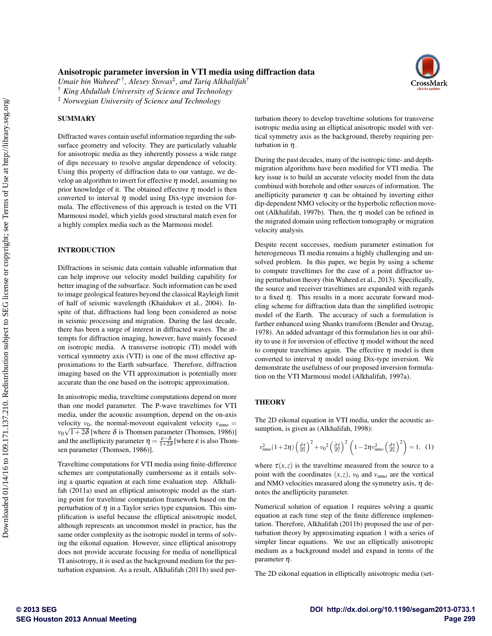# Anisotropic parameter inversion in VTI media using diffraction data

*Umair bin Waheed*∗† *, Alexey Stovas*‡ *, and Tariq Alkhalifah*†

† *King Abdullah University of Science and Technology*

‡ *Norwegian University of Science and Technology*

#### **SUMMARY**

Diffracted waves contain useful information regarding the subsurface geometry and velocity. They are particularly valuable for anisotropic media as they inherently possess a wide range of dips necessary to resolve angular dependence of velocity. Using this property of diffraction data to our vantage, we develop an algorithm to invert for effective  $\eta$  model, assuming no prior knowledge of it. The obtained effective  $\eta$  model is then converted to interval  $\eta$  model using Dix-type inversion formula. The effectiveness of this approach is tested on the VTI Marmousi model, which yields good structural match even for a highly complex media such as the Marmousi model.

#### INTRODUCTION

Diffractions in seismic data contain valuable information that can help improve our velocity model building capability for better imaging of the subsurface. Such information can be used to image geological features beyond the classical Rayleigh limit of half of seismic wavelength (Khaidukov et al., 2004). Inspite of that, diffractions had long been considered as noise in seismic processing and migration. During the last decade, there has been a surge of interest in diffracted waves. The attempts for diffraction imaging, however, have mainly focused on isotropic media. A transverse isotropic (TI) model with vertical symmetry axis (VTI) is one of the most effective approximations to the Earth subsurface. Therefore, diffraction imaging based on the VTI approximation is potentially more accurate than the one based on the isotropic approximation.

In anisotropic media, traveltime computations depend on more than one model parameter. The P-wave traveltimes for VTI media, under the acoustic assumption, depend on the on-axis velocity  $v_0$ , the normal-moveout equivalent velocity  $v_{nmo} =$  $v_0\sqrt{1+2\delta}$  [where  $\delta$  is Thomsen parameter (Thomsen, 1986)] and the anellipticity parameter  $\eta = \frac{\varepsilon - \delta}{1 + 2\delta}$  [where  $\varepsilon$  is also Thomsen parameter (Thomsen, 1986)].

Traveltime computations for VTI media using finite-difference schemes are computationally cumbersome as it entails solving a quartic equation at each time evaluation step. Alkhalifah (2011a) used an elliptical anisotropic model as the starting point for traveltime computation framework based on the perturbation of  $\eta$  in a Taylor series type expansion. This simplification is useful because the elliptical anisotropic model, although represents an uncommon model in practice, has the same order complexity as the isotropic model in terms of solving the eikonal equation. However, since elliptical anisotropy does not provide accurate focusing for media of nonelliptical TI anisotropy, it is used as the background medium for the perturbation expansion. As a result, Alkhalifah (2011b) used perturbation theory to develop traveltime solutions for transverse isotropic media using an elliptical anisotropic model with vertical symmetry axis as the background, thereby requiring perturbation in η.

During the past decades, many of the isotropic time- and depthmigration algorithms have been modified for VTI media. The key issue is to build an accurate velocity model from the data combined with borehole and other sources of information. The anellipticity parameter  $\eta$  can be obtained by inverting either dip-dependent NMO velocity or the hyperbolic reflection moveout (Alkhalifah, 1997b). Then, the  $\eta$  model can be refined in the migrated domain using reflection tomography or migration velocity analysis.

Despite recent successes, medium parameter estimation for heterogeneous TI media remains a highly challenging and unsolved problem. In this paper, we begin by using a scheme to compute traveltimes for the case of a point diffractor using perturbation theory (bin Waheed et al., 2013). Specifically, the source and receiver traveltimes are expanded with regards to a fixed  $\eta$ . This results in a more accurate forward modeling scheme for diffraction data than the simplified isotropic model of the Earth. The accuracy of such a formulation is further enhanced using Shanks transform (Bender and Orszag, 1978). An added advantage of this formulation lies in our ability to use it for inversion of effective  $\eta$  model without the need to compute traveltimes again. The effective  $\eta$  model is then converted to interval  $\eta$  model using Dix-type inversion. We demonstrate the usefulness of our proposed inversion formulation on the VTI Marmousi model (Alkhalifah, 1997a).

## **THEORY**

The 2D eikonal equation in VTI media, under the acoustic assumption, is given as (Alkhalifah, 1998):

$$
v_{nmo}^2(1+2\eta)\left(\frac{\partial\tau}{\partial x}\right)^2 + v_0^2\left(\frac{\partial\tau}{\partial z}\right)^2 \left(1-2\eta v_{nmo}^2\left(\frac{\partial\tau}{\partial x}\right)^2\right) = 1, (1)
$$

where  $\tau(x, z)$  is the traveltime measured from the source to a point with the coordinates  $(x, z)$ ,  $v_0$  and  $v_{nmo}$  are the vertical and NMO velocities measured along the symmetry axis,  $\eta$  denotes the anellipticity parameter.

Numerical solution of equation 1 requires solving a quartic equation at each time step of the finite difference implementation. Therefore, Alkhalifah (2011b) proposed the use of perturbation theory by approximating equation 1 with a series of simpler linear equations. We use an elliptically anisotropic medium as a background model and expand in terms of the parameter  $\eta$ .

The 2D eikonal equation in elliptically anisotropic media (set-

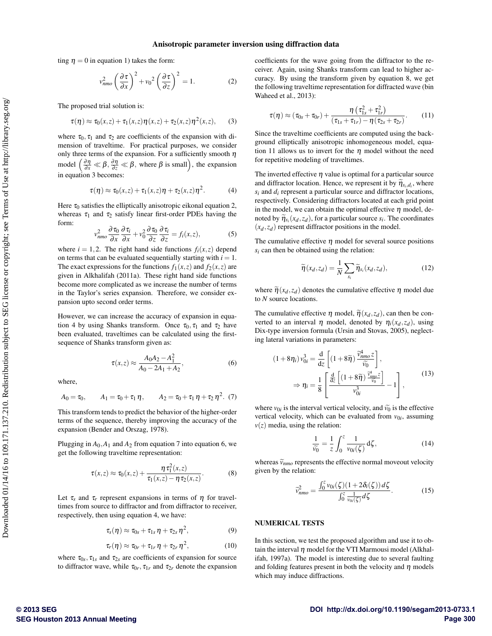ting  $\eta = 0$  in equation 1) takes the form:

$$
v_{nmo}^2 \left(\frac{\partial \tau}{\partial x}\right)^2 + v_0^2 \left(\frac{\partial \tau}{\partial z}\right)^2 = 1.
$$
 (2)

The proposed trial solution is:

$$
\tau(\eta) \approx \tau_0(x, z) + \tau_1(x, z)\eta(x, z) + \tau_2(x, z)\eta^2(x, z), \qquad (3)
$$

where  $\tau_0$ ,  $\tau_1$  and  $\tau_2$  are coefficients of the expansion with dimension of traveltime. For practical purposes, we consider only three terms of the expansion. For a sufficiently smooth  $\eta$ model  $\left(\frac{\partial \eta}{\partial x} \ll \beta, \frac{\partial \eta}{\partial z} \ll \beta\right)$ , where  $\beta$  is small), the expansion in equation 3 becomes:

$$
\tau(\eta) \approx \tau_0(x, z) + \tau_1(x, z)\eta + \tau_2(x, z)\eta^2.
$$
 (4)

Here  $\tau_0$  satisfies the elliptically anisotropic eikonal equation 2, whereas  $\tau_1$  and  $\tau_2$  satisfy linear first-order PDEs having the form:

$$
v_{nmo}^2 \frac{\partial \tau_0}{\partial x} \frac{\partial \tau_i}{\partial x} + v_0^2 \frac{\partial \tau_0}{\partial z} \frac{\partial \tau_i}{\partial z} = f_i(x, z), \tag{5}
$$

where  $i = 1, 2$ . The right hand side functions  $f_i(x, z)$  depend on terms that can be evaluated sequentially starting with  $i = 1$ . The exact expressions for the functions  $f_1(x, z)$  and  $f_2(x, z)$  are given in Alkhalifah (2011a). These right hand side functions become more complicated as we increase the number of terms in the Taylor's series expansion. Therefore, we consider expansion upto second order terms.

However, we can increase the accuracy of expansion in equation 4 by using Shanks transform. Once  $\tau_0$ ,  $\tau_1$  and  $\tau_2$  have been evaluated, traveltimes can be calculated using the firstsequence of Shanks transform given as:

$$
\tau(x,z) \approx \frac{A_0 A_2 - A_1^2}{A_0 - 2A_1 + A_2},\tag{6}
$$

where,

$$
A_0 = \tau_0, \qquad A_1 = \tau_0 + \tau_1 \eta, \qquad A_2 = \tau_0 + \tau_1 \eta + \tau_2 \eta^2. \tag{7}
$$

This transform tends to predict the behavior of the higher-order terms of the sequence, thereby improving the accuracy of the expansion (Bender and Orszag, 1978).

Plugging in  $A_0$ ,  $A_1$  and  $A_2$  from equation 7 into equation 6, we get the following traveltime representation:

$$
\tau(x,z) \approx \tau_0(x,z) + \frac{\eta \tau_1^2(x,z)}{\tau_1(x,z) - \eta \tau_2(x,z)}.
$$
 (8)

Let  $\tau_s$  and  $\tau_r$  represent expansions in terms of  $\eta$  for traveltimes from source to diffractor and from diffractor to receiver, respectively, then using equation 4, we have:

$$
\tau_s(\eta) \approx \tau_{0s} + \tau_{1s} \eta + \tau_{2s} \eta^2, \qquad (9)
$$

$$
\tau_r(\eta) \approx \tau_{0r} + \tau_{1r} \eta + \tau_{2r} \eta^2, \qquad (10)
$$

where  $\tau_{0s}$ ,  $\tau_{1s}$  and  $\tau_{2s}$  are coefficients of expansion for source to diffractor wave, while  $\tau_{0r}$ ,  $\tau_{1r}$  and  $\tau_{2r}$  denote the expansion coefficients for the wave going from the diffractor to the receiver. Again, using Shanks transform can lead to higher accuracy. By using the transform given by equation 8, we get the following traveltime representation for diffracted wave (bin Waheed et al., 2013):

$$
\tau(\eta) \approx (\tau_{0s} + \tau_{0r}) + \frac{\eta(\tau_{1s}^2 + \tau_{1r}^2)}{(\tau_{1s} + \tau_{1r}) - \eta(\tau_{2s} + \tau_{2r})}.
$$
 (11)

Since the traveltime coefficients are computed using the background elliptically anisotropic inhomogeneous model, equation 11 allows us to invert for the  $\eta$  model without the need for repetitive modeling of traveltimes.

The inverted effective  $\eta$  value is optimal for a particular source and diffractor location. Hence, we represent it by  $\widetilde{\eta}_{s_i,d_i}$ , where  $s_i$  and  $d_i$  represent a particular source and diffractor locations, respectively. Considering diffractors located at each grid point in the model, we can obtain the optimal effective  $\eta$  model, denoted by  $\widetilde{\eta}_{s_i}(x_d, z_d)$ , for a particular source  $s_i$ . The coordinates  $(x_d, z_d)$  represent diffractor positions in the model.

The cumulative effective  $\eta$  model for several source positions *si* can then be obtained using the relation:

$$
\widetilde{\eta}(x_d, z_d) = \frac{1}{N} \sum_{s_i} \widetilde{\eta}_{s_i}(x_d, z_d), \tag{12}
$$

where  $\tilde{\eta}(x_d, z_d)$  denotes the cumulative effective  $\eta$  model due to *N* source locations.

The cumulative effective  $\eta$  model,  $\tilde{\eta}(x_d, z_d)$ , can then be converted to an interval  $\eta$  model, denoted by  $\eta_i(x_d, z_d)$ , using Dix-type inversion formula (Ursin and Stovas, 2005), neglecting lateral variations in parameters:

$$
(1+8\eta_i) v_{0i}^3 = \frac{d}{dz} \left[ (1+8\widetilde{\eta}) \frac{\widetilde{v}_{nmo}^4 z}{\widetilde{v}_0} \right],
$$
  

$$
\Rightarrow \eta_i = \frac{1}{8} \left[ \frac{\frac{d}{dz} \left[ (1+8\widetilde{\eta}) \frac{\widetilde{v}_{nmo}^4 z}{\widetilde{v}_0} \right]}{v_{0i}^3} - 1 \right],
$$
(13)

where  $v_{0i}$  is the interval vertical velocity, and  $\tilde{v}_0$  is the effective<br>vertical velocity, which can be evaluated from  $v_{\text{tot}}$  essuming vertical velocity, which can be evaluated from  $v_{0i}$ , assuming  $v(z)$  media, using the relation:

$$
\frac{1}{\widetilde{v_0}} = \frac{1}{z} \int_0^z \frac{1}{v_{0i}(\zeta)} d\zeta,
$$
\n(14)

whereas  $\tilde{v}_{nmo}$  represents the effective normal moveout velocity given by the relation:

$$
\widehat{\nu}_{nmo}^2 = \frac{\int_0^z v_{0i}(\zeta)(1+2\delta_i(\zeta))\,d\zeta}{\int_0^z \frac{1}{v_{0i}(\zeta)}\,d\zeta}.\tag{15}
$$

#### NUMERICAL TESTS

In this section, we test the proposed algorithm and use it to obtain the interval  $\eta$  model for the VTI Marmousi model (Alkhalifah, 1997a). The model is interesting due to several faulting and folding features present in both the velocity and  $\eta$  models which may induce diffractions.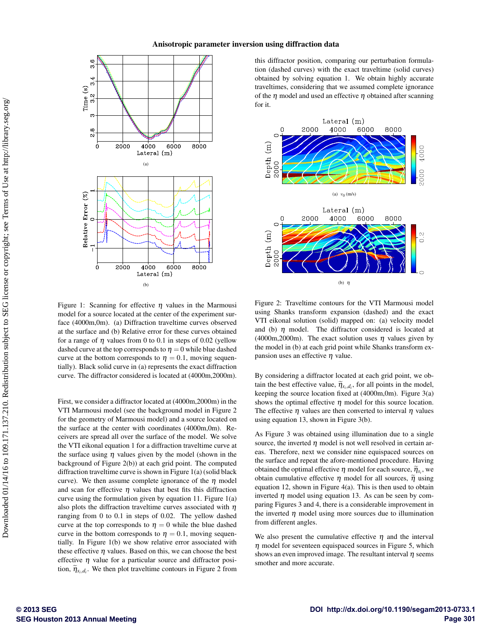

Figure 1: Scanning for effective  $\eta$  values in the Marmousi model for a source located at the center of the experiment surface (4000m,0m). (a) Diffraction traveltime curves observed at the surface and (b) Relative error for these curves obtained for a range of  $\eta$  values from 0 to 0.1 in steps of 0.02 (yellow dashed curve at the top corresponds to  $\eta = 0$  while blue dashed curve at the bottom corresponds to  $\eta = 0.1$ , moving sequentially). Black solid curve in (a) represents the exact diffraction curve. The diffractor considered is located at (4000m,2000m).

First, we consider a diffractor located at (4000m,2000m) in the VTI Marmousi model (see the background model in Figure 2 for the geometry of Marmousi model) and a source located on the surface at the center with coordinates (4000m,0m). Receivers are spread all over the surface of the model. We solve the VTI eikonal equation 1 for a diffraction traveltime curve at the surface using  $\eta$  values given by the model (shown in the background of Figure 2(b)) at each grid point. The computed diffraction traveltime curve is shown in Figure 1(a) (solid black curve). We then assume complete ignorance of the  $\eta$  model and scan for effective  $\eta$  values that best fits this diffraction curve using the formulation given by equation 11. Figure 1(a) also plots the diffraction traveltime curves associated with  $\eta$ ranging from 0 to 0.1 in steps of 0.02. The yellow dashed curve at the top corresponds to  $\eta = 0$  while the blue dashed curve in the bottom corresponds to  $\eta = 0.1$ , moving sequentially. In Figure 1(b) we show relative error associated with these effective  $\eta$  values. Based on this, we can choose the best effective  $\eta$  value for a particular source and diffractor position,  $\widetilde{\eta}_{s_i,d_i}$ . We then plot traveltime contours in Figure 2 from

this diffractor position, comparing our perturbation formulation (dashed curves) with the exact traveltime (solid curves) obtained by solving equation 1. We obtain highly accurate traveltimes, considering that we assumed complete ignorance of the  $\eta$  model and used an effective  $\eta$  obtained after scanning for it.



Figure 2: Traveltime contours for the VTI Marmousi model using Shanks transform expansion (dashed) and the exact VTI eikonal solution (solid) mapped on: (a) velocity model and (b)  $\eta$  model. The diffractor considered is located at (4000m,2000m). The exact solution uses  $\eta$  values given by the model in (b) at each grid point while Shanks transform expansion uses an effective  $\eta$  value.

By considering a diffractor located at each grid point, we obtain the best effective value,  $\tilde{\eta}_{s_i,d_i}$ , for all points in the model,<br>learning the series leasting fixed at  $(4000m \text{ cm})$ . Figure 2(a) keeping the source location fixed at (4000m,0m). Figure 3(a) shows the optimal effective  $\eta$  model for this source location. The effective  $\eta$  values are then converted to interval  $\eta$  values using equation 13, shown in Figure 3(b).

As Figure 3 was obtained using illumination due to a single source, the inverted  $\eta$  model is not well resolved in certain areas. Therefore, next we consider nine equispaced sources on the surface and repeat the afore-mentioned procedure. Having obtained the optimal effective  $\eta$  model for each source,  $\widetilde{\eta}_{s_i}$ , we obtain sumpletive offective  $\eta$  model for all sources.  $\widetilde{\eta}_{s_i}$  wing obtain cumulative effective  $\eta$  model for all sources,  $\tilde{\eta}$  using equation 12, shown in Figure 4(a). This is then used to obtain inverted  $\eta$  model using equation 13. As can be seen by comparing Figures 3 and 4, there is a considerable improvement in the inverted  $\eta$  model using more sources due to illumination from different angles.

We also present the cumulative effective  $\eta$  and the interval  $\eta$  model for seventeen equispaced sources in Figure 5, which shows an even improved image. The resultant interval  $\eta$  seems smother and more accurate.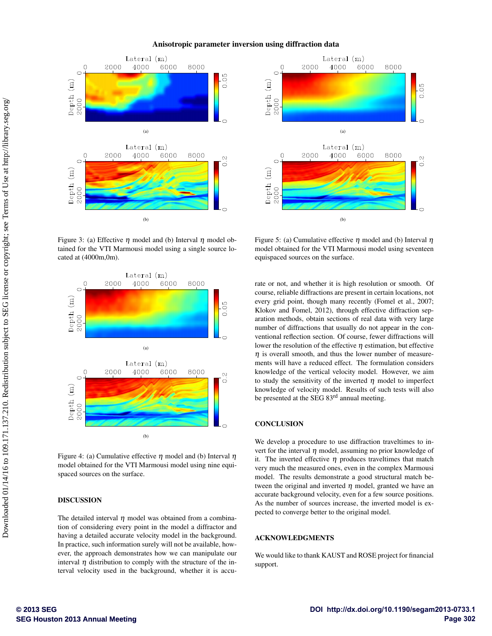

Figure 3: (a) Effective  $\eta$  model and (b) Interval  $\eta$  model obtained for the VTI Marmousi model using a single source located at (4000m,0m).



Figure 4: (a) Cumulative effective  $\eta$  model and (b) Interval  $\eta$ model obtained for the VTI Marmousi model using nine equispaced sources on the surface.

## DISCUSSION

The detailed interval  $\eta$  model was obtained from a combination of considering every point in the model a diffractor and having a detailed accurate velocity model in the background. In practice, such information surely will not be available, however, the approach demonstrates how we can manipulate our interval  $\eta$  distribution to comply with the structure of the interval velocity used in the background, whether it is accu-



Figure 5: (a) Cumulative effective  $\eta$  model and (b) Interval  $\eta$ model obtained for the VTI Marmousi model using seventeen equispaced sources on the surface.

rate or not, and whether it is high resolution or smooth. Of course, reliable diffractions are present in certain locations, not every grid point, though many recently (Fomel et al., 2007; Klokov and Fomel, 2012), through effective diffraction separation methods, obtain sections of real data with very large number of diffractions that usually do not appear in the conventional reflection section. Of course, fewer diffractions will lower the resolution of the effective  $\eta$  estimation, but effective  $\eta$  is overall smooth, and thus the lower number of measurements will have a reduced effect. The formulation considers knowledge of the vertical velocity model. However, we aim to study the sensitivity of the inverted  $\eta$  model to imperfect knowledge of velocity model. Results of such tests will also be presented at the SEG 83rd annual meeting.

## **CONCLUSION**

We develop a procedure to use diffraction traveltimes to invert for the interval  $\eta$  model, assuming no prior knowledge of it. The inverted effective  $\eta$  produces traveltimes that match very much the measured ones, even in the complex Marmousi model. The results demonstrate a good structural match between the original and inverted  $\eta$  model, granted we have an accurate background velocity, even for a few source positions. As the number of sources increase, the inverted model is expected to converge better to the original model.

#### ACKNOWLEDGMENTS

We would like to thank KAUST and ROSE project for financial support.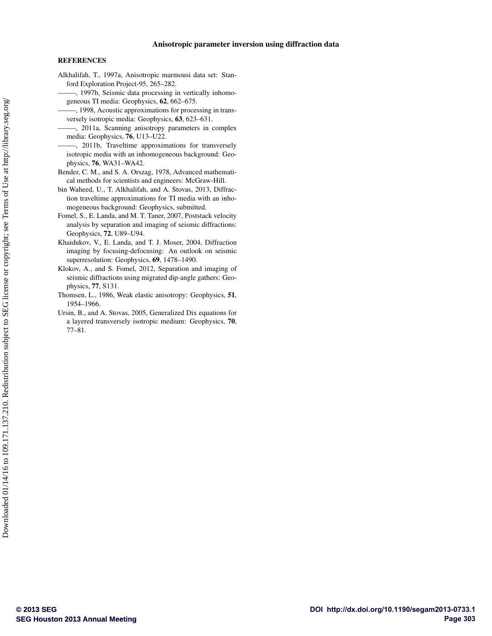#### **REFERENCES**

- Alkhalifah, T., 1997a, Anisotropic marmousi data set: Stanford Exploration Project-95, 265–282.
- -, 1997b, Seismic data processing in vertically inhomogeneous TI media: Geophysics, 62, 662–675.
- ——–, 1998, Acoustic approximations for processing in transversely isotropic media: Geophysics, 63, 623–631.
- -, 2011a, Scanning anisotropy parameters in complex media: Geophysics, 76, U13–U22.
- ——–, 2011b, Traveltime approximations for transversely isotropic media with an inhomogeneous background: Geophysics, 76, WA31–WA42.
- Bender, C. M., and S. A. Orszag, 1978, Advanced mathematical methods for scientists and engineers: McGraw-Hill.
- bin Waheed, U., T. Alkhalifah, and A. Stovas, 2013, Diffraction traveltime approximations for TI media with an inhomogeneous background: Geophysics, submitted.
- Fomel, S., E. Landa, and M. T. Taner, 2007, Poststack velocity analysis by separation and imaging of seismic diffractions: Geophysics, 72, U89–U94.
- Khaidukov, V., E. Landa, and T. J. Moser, 2004, Diffraction imaging by focusing-defocusing: An outlook on seismic superresolution: Geophysics, 69, 1478–1490.
- Klokov, A., and S. Fomel, 2012, Separation and imaging of seismic diffractions using migrated dip-angle gathers: Geophysics, 77, S131.
- Thomsen, L., 1986, Weak elastic anisotropy: Geophysics, 51, 1954–1966.
- Ursin, B., and A. Stovas, 2005, Generalized Dix equations for a layered transversely isotropic medium: Geophysics, 70, 77–81.